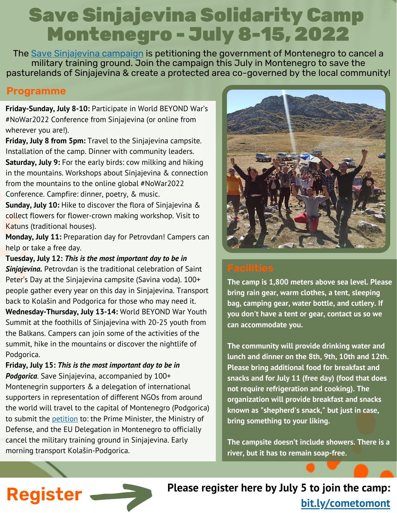# Save Sinjajevina Solidarity Camp Montenegro - July 8-15, 2022

The Save [Sinjajevina](https://actionnetwork.org/petitions/save-sinjajevinas-nature-and-local-ccommunities/) campaign is petitioning the government of Montenegro to cancel a military training ground. Join the campaign this July in Montenegro to save the pasturelands of Sinjajevina & create a protected area co-governed by the local community!

## **Programme**

**Friday-Sunday, July 8-10:** Participate in World BEYOND War's #NoWar2022 Conference from Sinjajevina (or online from wherever you are!).

**Friday, July 8 from 5pm:** Travel to the Sinjajevina campsite. Installation of the camp. Dinner with community leaders. **Saturday, July 9:** For the early birds: cow milking and hiking in the mountains. Workshops about Sinjajevina & connection from the mountains to the online global #NoWar2022 Conference. Campfire: dinner, poetry, & music.

**Sunday, July 10:** Hike to discover the flora of Sinjajevina & collect flowers for flower-crown making workshop. Visit to Katuns (traditional houses).

**Monday, July 11:** Preparation day for Petrovdan! Campers can help or take a free day.

**Tuesday, July 12:** *This is the most important day to be in Sinjajevina.* Petrovdan is the traditional celebration of Saint Peter's Day at the Sinjajevina campsite (Savina voda). 100+ people gather every year on this day in Sinjajevina. Transport back to Kolašin and Podgorica for those who may need it. **Wednesday-Thursday, July 13-14:** World BEYOND War Youth Summit at the foothills of Sinjajevina with 20-25 youth from the Balkans. Campers can join some of the activities of the summit, hike in the mountains or discover the nightlife of Podgorica.

**Friday, July 15:** *This is the most important day to be in Podgorica.* Save Sinjajevina, accompanied by 100+ Montenegrin supporters & a delegation of international supporters in representation of different NGOs from around the world will travel to the capital of Montenegro (Podgorica) to submit the [petition](https://actionnetwork.org/petitions/save-sinjajevinas-nature-and-local-ccommunities?clear_id=true) to: the Prime Minister, the Ministry of Defense, and the EU Delegation in Montenegro to officially cancel the military training ground in Sinjajevina. Early morning transport Kolašin-Podgorica.

**Register**



**The camp is 1,800 meters above sea level. Please bring rain gear, warm clothes, a tent, sleeping bag, camping gear, water bottle, and cutlery. If you don't have a tent or gear, contact us so we can accommodate you.**

**The community will provide drinking water and lunch and dinner on the 8th, 9th, 10th and 12th. Please bring additional food for breakfast and snacks and for July 11 (free day) (food that does not require refrigeration and cooking). The organization will provide breakfast and snacks known as "shepherd's snack," but just in case, bring something to your liking.**

**The campsite doesn't include showers. There is a river, but it has to remain soap-free.**